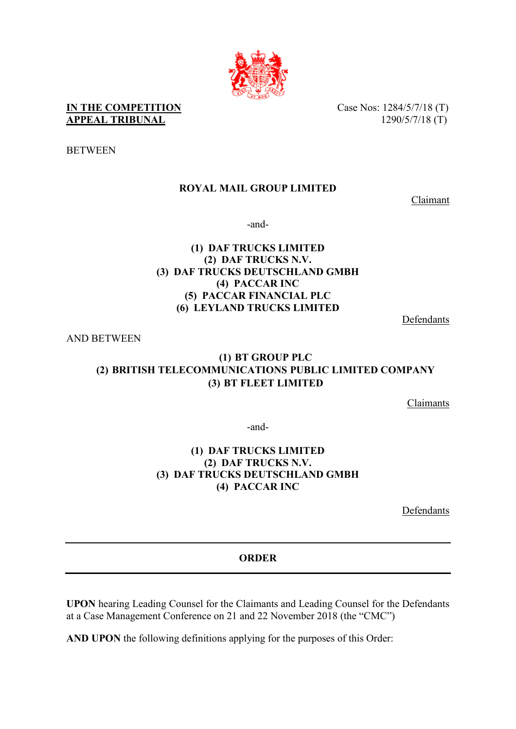

**IN THE COMPETITION** Case Nos: 1284/5/7/18 (T) **APPEAL TRIBUNAL** 1290/5/7/18 (T)

**BETWEEN** 

# **ROYAL MAIL GROUP LIMITED**

Claimant

-and-

# **(1) DAF TRUCKS LIMITED (2) DAF TRUCKS N.V. (3) DAF TRUCKS DEUTSCHLAND GMBH (4) PACCAR INC (5) PACCAR FINANCIAL PLC (6) LEYLAND TRUCKS LIMITED**

Defendants

AND BETWEEN

# **(1) BT GROUP PLC (2) BRITISH TELECOMMUNICATIONS PUBLIC LIMITED COMPANY (3) BT FLEET LIMITED**

Claimants

-and-

## **(1) DAF TRUCKS LIMITED (2) DAF TRUCKS N.V. (3) DAF TRUCKS DEUTSCHLAND GMBH (4) PACCAR INC**

Defendants

# **ORDER**

**UPON** hearing Leading Counsel for the Claimants and Leading Counsel for the Defendants at a Case Management Conference on 21 and 22 November 2018 (the "CMC")

**AND UPON** the following definitions applying for the purposes of this Order: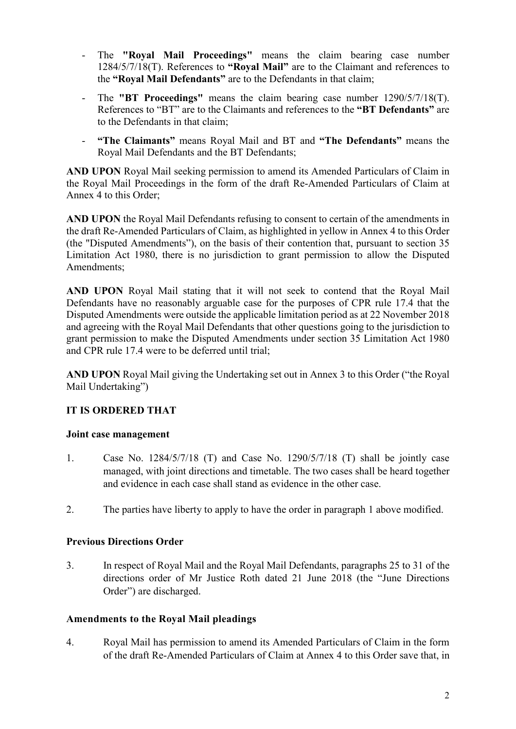- The **"Royal Mail Proceedings"** means the claim bearing case number 1284/5/7/18(T). References to **"Royal Mail"** are to the Claimant and references to the **"Royal Mail Defendants"** are to the Defendants in that claim;
- The **"BT Proceedings"** means the claim bearing case number  $1290/5/7/18(T)$ . References to "BT" are to the Claimants and references to the **"BT Defendants"** are to the Defendants in that claim;
- **"The Claimants"** means Royal Mail and BT and **"The Defendants"** means the Royal Mail Defendants and the BT Defendants;

**AND UPON** Royal Mail seeking permission to amend its Amended Particulars of Claim in the Royal Mail Proceedings in the form of the draft Re-Amended Particulars of Claim at Annex 4 to this Order;

**AND UPON** the Royal Mail Defendants refusing to consent to certain of the amendments in the draft Re-Amended Particulars of Claim, as highlighted in yellow in Annex 4 to this Order (the "Disputed Amendments"), on the basis of their contention that, pursuant to section 35 Limitation Act 1980, there is no jurisdiction to grant permission to allow the Disputed Amendments;

**AND UPON** Royal Mail stating that it will not seek to contend that the Royal Mail Defendants have no reasonably arguable case for the purposes of CPR rule 17.4 that the Disputed Amendments were outside the applicable limitation period as at 22 November 2018 and agreeing with the Royal Mail Defendants that other questions going to the jurisdiction to grant permission to make the Disputed Amendments under section 35 Limitation Act 1980 and CPR rule 17.4 were to be deferred until trial;

**AND UPON** Royal Mail giving the Undertaking set out in Annex 3 to this Order ("the Royal Mail Undertaking")

# **IT IS ORDERED THAT**

## **Joint case management**

- 1. Case No. 1284/5/7/18 (T) and Case No. 1290/5/7/18 (T) shall be jointly case managed, with joint directions and timetable. The two cases shall be heard together and evidence in each case shall stand as evidence in the other case.
- 2. The parties have liberty to apply to have the order in paragraph 1 above modified.

## **Previous Directions Order**

3. In respect of Royal Mail and the Royal Mail Defendants, paragraphs 25 to 31 of the directions order of Mr Justice Roth dated 21 June 2018 (the "June Directions Order") are discharged.

## **Amendments to the Royal Mail pleadings**

4. Royal Mail has permission to amend its Amended Particulars of Claim in the form of the draft Re-Amended Particulars of Claim at Annex 4 to this Order save that, in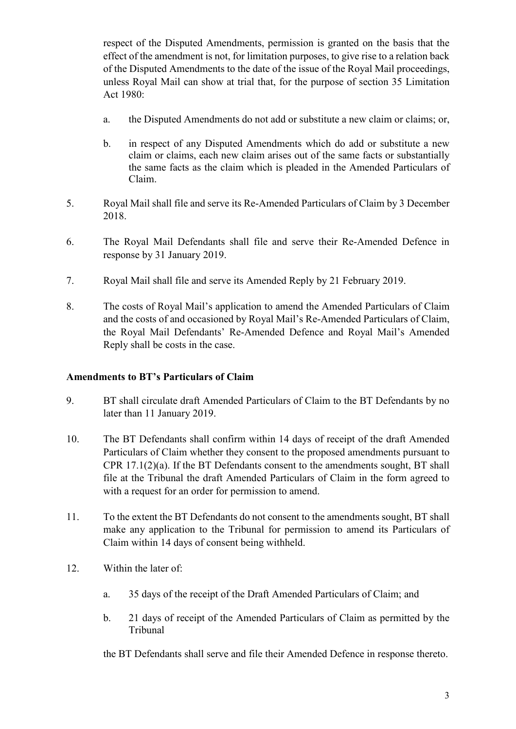respect of the Disputed Amendments, permission is granted on the basis that the effect of the amendment is not, for limitation purposes, to give rise to a relation back of the Disputed Amendments to the date of the issue of the Royal Mail proceedings, unless Royal Mail can show at trial that, for the purpose of section 35 Limitation Act 1980:

- a. the Disputed Amendments do not add or substitute a new claim or claims; or,
- b. in respect of any Disputed Amendments which do add or substitute a new claim or claims, each new claim arises out of the same facts or substantially the same facts as the claim which is pleaded in the Amended Particulars of Claim.
- 5. Royal Mail shall file and serve its Re-Amended Particulars of Claim by 3 December 2018.
- 6. The Royal Mail Defendants shall file and serve their Re-Amended Defence in response by 31 January 2019.
- 7. Royal Mail shall file and serve its Amended Reply by 21 February 2019.
- 8. The costs of Royal Mail's application to amend the Amended Particulars of Claim and the costs of and occasioned by Royal Mail's Re-Amended Particulars of Claim, the Royal Mail Defendants' Re-Amended Defence and Royal Mail's Amended Reply shall be costs in the case.

#### **Amendments to BT's Particulars of Claim**

- 9. BT shall circulate draft Amended Particulars of Claim to the BT Defendants by no later than 11 January 2019.
- 10. The BT Defendants shall confirm within 14 days of receipt of the draft Amended Particulars of Claim whether they consent to the proposed amendments pursuant to CPR 17.1(2)(a). If the BT Defendants consent to the amendments sought, BT shall file at the Tribunal the draft Amended Particulars of Claim in the form agreed to with a request for an order for permission to amend.
- 11. To the extent the BT Defendants do not consent to the amendments sought, BT shall make any application to the Tribunal for permission to amend its Particulars of Claim within 14 days of consent being withheld.
- 12. Within the later of:
	- a. 35 days of the receipt of the Draft Amended Particulars of Claim; and
	- b. 21 days of receipt of the Amended Particulars of Claim as permitted by the Tribunal

the BT Defendants shall serve and file their Amended Defence in response thereto.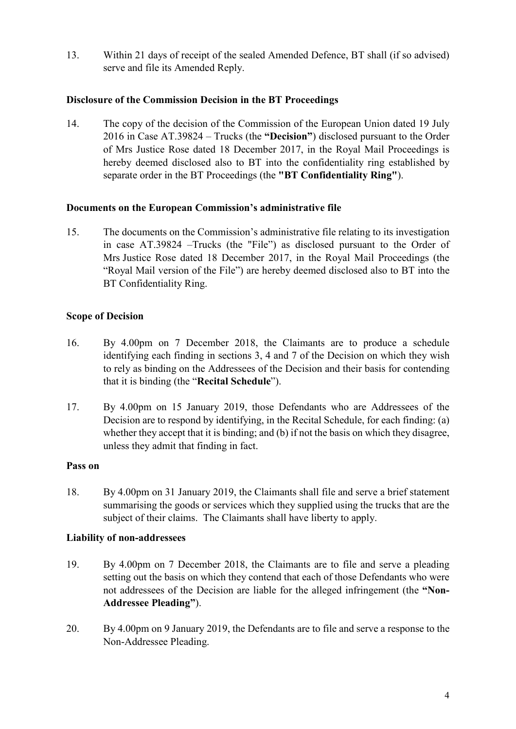13. Within 21 days of receipt of the sealed Amended Defence, BT shall (if so advised) serve and file its Amended Reply.

# **Disclosure of the Commission Decision in the BT Proceedings**

14. The copy of the decision of the Commission of the European Union dated 19 July 2016 in Case AT.39824 – Trucks (the **"Decision"**) disclosed pursuant to the Order of Mrs Justice Rose dated 18 December 2017, in the Royal Mail Proceedings is hereby deemed disclosed also to BT into the confidentiality ring established by separate order in the BT Proceedings (the **"BT Confidentiality Ring"**).

## **Documents on the European Commission's administrative file**

15. The documents on the Commission's administrative file relating to its investigation in case AT.39824 –Trucks (the "File") as disclosed pursuant to the Order of Mrs Justice Rose dated 18 December 2017, in the Royal Mail Proceedings (the "Royal Mail version of the File") are hereby deemed disclosed also to BT into the BT Confidentiality Ring.

## **Scope of Decision**

- 16. By 4.00pm on 7 December 2018, the Claimants are to produce a schedule identifying each finding in sections 3, 4 and 7 of the Decision on which they wish to rely as binding on the Addressees of the Decision and their basis for contending that it is binding (the "**Recital Schedule**").
- 17. By 4.00pm on 15 January 2019, those Defendants who are Addressees of the Decision are to respond by identifying, in the Recital Schedule, for each finding: (a) whether they accept that it is binding; and (b) if not the basis on which they disagree, unless they admit that finding in fact.

## **Pass on**

18. By 4.00pm on 31 January 2019, the Claimants shall file and serve a brief statement summarising the goods or services which they supplied using the trucks that are the subject of their claims. The Claimants shall have liberty to apply.

## **Liability of non-addressees**

- 19. By 4.00pm on 7 December 2018, the Claimants are to file and serve a pleading setting out the basis on which they contend that each of those Defendants who were not addressees of the Decision are liable for the alleged infringement (the **"Non-Addressee Pleading"**).
- 20. By 4.00pm on 9 January 2019, the Defendants are to file and serve a response to the Non-Addressee Pleading.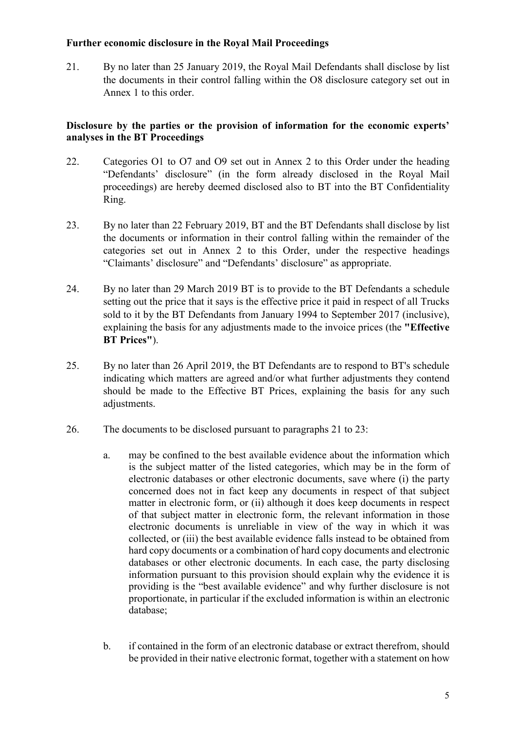#### **Further economic disclosure in the Royal Mail Proceedings**

<span id="page-4-0"></span>21. By no later than 25 January 2019, the Royal Mail Defendants shall disclose by list the documents in their control falling within the O8 disclosure category set out in Annex 1 to this order.

## **Disclosure by the parties or the provision of information for the economic experts' analyses in the BT Proceedings**

- 22. Categories O1 to O7 and O9 set out in Annex 2 to this Order under the heading "Defendants' disclosure" (in the form already disclosed in the Royal Mail proceedings) are hereby deemed disclosed also to BT into the BT Confidentiality Ring.
- <span id="page-4-1"></span>23. By no later than 22 February 2019, BT and the BT Defendants shall disclose by list the documents or information in their control falling within the remainder of the categories set out in Annex 2 to this Order, under the respective headings "Claimants' disclosure" and "Defendants' disclosure" as appropriate.
- 24. By no later than 29 March 2019 BT is to provide to the BT Defendants a schedule setting out the price that it says is the effective price it paid in respect of all Trucks sold to it by the BT Defendants from January 1994 to September 2017 (inclusive), explaining the basis for any adjustments made to the invoice prices (the **"Effective BT Prices"**).
- 25. By no later than 26 April 2019, the BT Defendants are to respond to BT's schedule indicating which matters are agreed and/or what further adjustments they contend should be made to the Effective BT Prices, explaining the basis for any such adjustments.
- 26. The documents to be disclosed pursuant to paragraphs [21](#page-4-0) to [23:](#page-4-1)
	- a. may be confined to the best available evidence about the information which is the subject matter of the listed categories, which may be in the form of electronic databases or other electronic documents, save where (i) the party concerned does not in fact keep any documents in respect of that subject matter in electronic form, or (ii) although it does keep documents in respect of that subject matter in electronic form, the relevant information in those electronic documents is unreliable in view of the way in which it was collected, or (iii) the best available evidence falls instead to be obtained from hard copy documents or a combination of hard copy documents and electronic databases or other electronic documents. In each case, the party disclosing information pursuant to this provision should explain why the evidence it is providing is the "best available evidence" and why further disclosure is not proportionate, in particular if the excluded information is within an electronic database;
	- b. if contained in the form of an electronic database or extract therefrom, should be provided in their native electronic format, together with a statement on how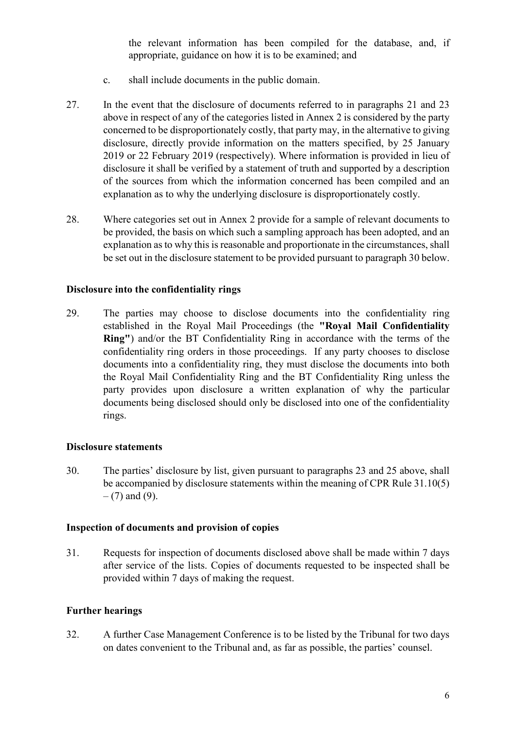the relevant information has been compiled for the database, and, if appropriate, guidance on how it is to be examined; and

- c. shall include documents in the public domain.
- 27. In the event that the disclosure of documents referred to in paragraphs [21](#page-4-0) and [23](#page-4-1)  above in respect of any of the categories listed in Annex 2 is considered by the party concerned to be disproportionately costly, that party may, in the alternative to giving disclosure, directly provide information on the matters specified, by 25 January 2019 or 22 February 2019 (respectively). Where information is provided in lieu of disclosure it shall be verified by a statement of truth and supported by a description of the sources from which the information concerned has been compiled and an explanation as to why the underlying disclosure is disproportionately costly.
- 28. Where categories set out in Annex 2 provide for a sample of relevant documents to be provided, the basis on which such a sampling approach has been adopted, and an explanation as to why this is reasonable and proportionate in the circumstances, shall be set out in the disclosure statement to be provided pursuant to paragraph [30](#page-5-0) below.

#### **Disclosure into the confidentiality rings**

29. The parties may choose to disclose documents into the confidentiality ring established in the Royal Mail Proceedings (the **"Royal Mail Confidentiality Ring"**) and/or the BT Confidentiality Ring in accordance with the terms of the confidentiality ring orders in those proceedings. If any party chooses to disclose documents into a confidentiality ring, they must disclose the documents into both the Royal Mail Confidentiality Ring and the BT Confidentiality Ring unless the party provides upon disclosure a written explanation of why the particular documents being disclosed should only be disclosed into one of the confidentiality rings.

#### **Disclosure statements**

<span id="page-5-0"></span>30. The parties' disclosure by list, given pursuant to paragraphs 23 and 25 above, shall be accompanied by disclosure statements within the meaning of CPR Rule 31.10(5)  $-$  (7) and (9).

#### **Inspection of documents and provision of copies**

31. Requests for inspection of documents disclosed above shall be made within 7 days after service of the lists. Copies of documents requested to be inspected shall be provided within 7 days of making the request.

#### **Further hearings**

32. A further Case Management Conference is to be listed by the Tribunal for two days on dates convenient to the Tribunal and, as far as possible, the parties' counsel.